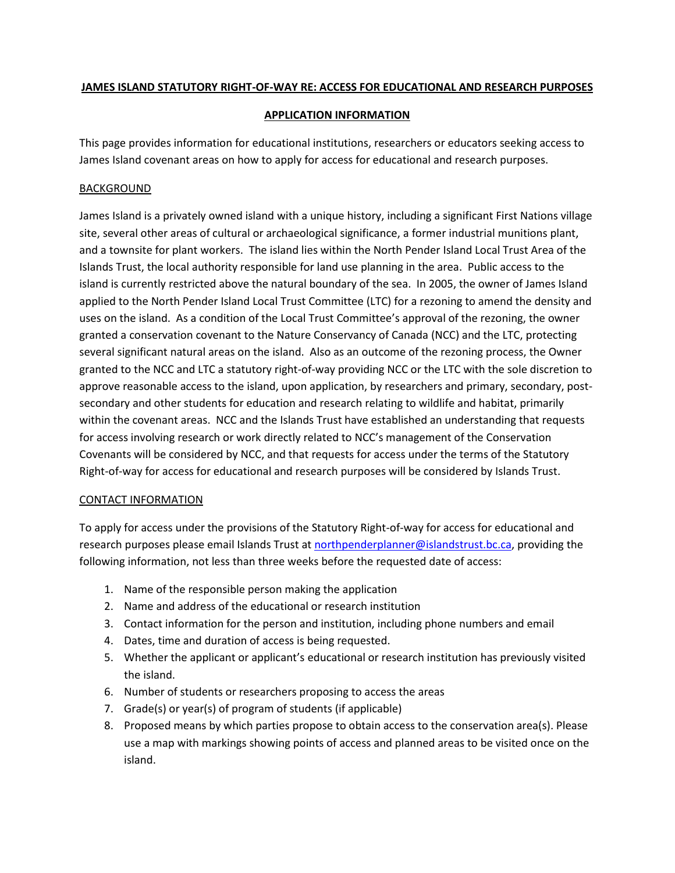## **JAMES ISLAND STATUTORY RIGHT-OF-WAY RE: ACCESS FOR EDUCATIONAL AND RESEARCH PURPOSES**

## **APPLICATION INFORMATION**

This page provides information for educational institutions, researchers or educators seeking access to James Island covenant areas on how to apply for access for educational and research purposes.

## BACKGROUND

James Island is a privately owned island with a unique history, including a significant First Nations village site, several other areas of cultural or archaeological significance, a former industrial munitions plant, and a townsite for plant workers. The island lies within the North Pender Island Local Trust Area of the Islands Trust, the local authority responsible for land use planning in the area. Public access to the island is currently restricted above the natural boundary of the sea. In 2005, the owner of James Island applied to the North Pender Island Local Trust Committee (LTC) for a rezoning to amend the density and uses on the island. As a condition of the Local Trust Committee's approval of the rezoning, the owner granted a conservation covenant to the Nature Conservancy of Canada (NCC) and the LTC, protecting several significant natural areas on the island. Also as an outcome of the rezoning process, the Owner granted to the NCC and LTC a statutory right-of-way providing NCC or the LTC with the sole discretion to approve reasonable access to the island, upon application, by researchers and primary, secondary, postsecondary and other students for education and research relating to wildlife and habitat, primarily within the covenant areas. NCC and the Islands Trust have established an understanding that requests for access involving research or work directly related to NCC's management of the Conservation Covenants will be considered by NCC, and that requests for access under the terms of the Statutory Right-of-way for access for educational and research purposes will be considered by Islands Trust.

## CONTACT INFORMATION

To apply for access under the provisions of the Statutory Right-of-way for access for educational and research purposes please email Islands Trust at [northpenderplanner@islandstrust.bc.ca,](mailto:northpenderplanner@islandstrust.bc.ca) providing the following information, not less than three weeks before the requested date of access:

- 1. Name of the responsible person making the application
- 2. Name and address of the educational or research institution
- 3. Contact information for the person and institution, including phone numbers and email
- 4. Dates, time and duration of access is being requested.
- 5. Whether the applicant or applicant's educational or research institution has previously visited the island.
- 6. Number of students or researchers proposing to access the areas
- 7. Grade(s) or year(s) of program of students (if applicable)
- 8. Proposed means by which parties propose to obtain access to the conservation area(s). Please use a map with markings showing points of access and planned areas to be visited once on the island.